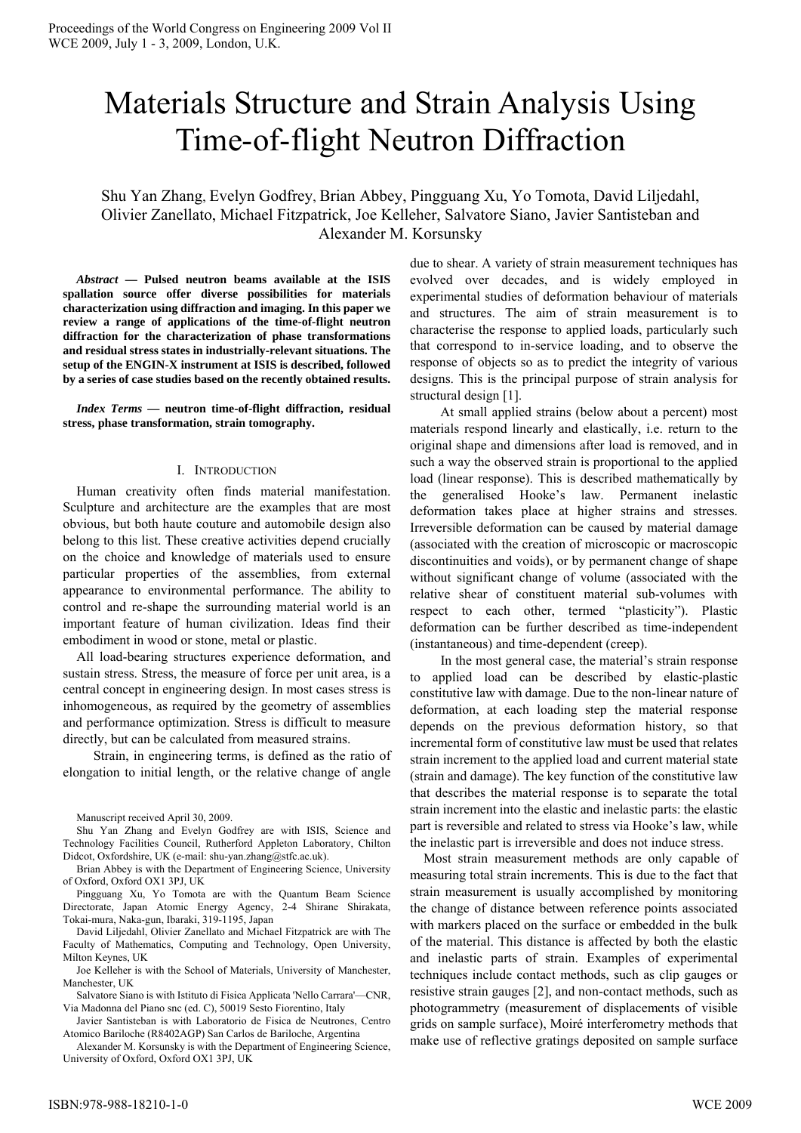# Materials Structure and Strain Analysis Using Time-of-flight Neutron Diffraction

Shu Yan Zhang, Evelyn Godfrey, Brian Abbey, Pingguang Xu, Yo Tomota, David Liljedahl, Olivier Zanellato, Michael Fitzpatrick, Joe Kelleher, Salvatore Siano, Javier Santisteban and Alexander M. Korsunsky

*Abstract* **— Pulsed neutron beams available at the ISIS spallation source offer diverse possibilities for materials characterization using diffraction and imaging. In this paper we review a range of applications of the time-of-flight neutron diffraction for the characterization of phase transformations and residual stress states in industrially-relevant situations. The setup of the ENGIN-X instrument at ISIS is described, followed by a series of case studies based on the recently obtained results.** 

*Index Terms* **— neutron time-of-flight diffraction, residual stress, phase transformation, strain tomography.** 

#### I. INTRODUCTION

Human creativity often finds material manifestation. Sculpture and architecture are the examples that are most obvious, but both haute couture and automobile design also belong to this list. These creative activities depend crucially on the choice and knowledge of materials used to ensure particular properties of the assemblies, from external appearance to environmental performance. The ability to control and re-shape the surrounding material world is an important feature of human civilization. Ideas find their embodiment in wood or stone, metal or plastic.

All load-bearing structures experience deformation, and sustain stress. Stress, the measure of force per unit area, is a central concept in engineering design. In most cases stress is inhomogeneous, as required by the geometry of assemblies and performance optimization. Stress is difficult to measure directly, but can be calculated from measured strains.

 Strain, in engineering terms, is defined as the ratio of elongation to initial length, or the relative change of angle

Manuscript received April 30, 2009.

Shu Yan Zhang and Evelyn Godfrey are with ISIS, Science and Technology Facilities Council, Rutherford Appleton Laboratory, Chilton Didcot, Oxfordshire, UK (e-mail: shu-yan.zhang@stfc.ac.uk).

Brian Abbey is with the Department of Engineering Science, University of Oxford, Oxford OX1 3PJ, UK

Pingguang Xu, Yo Tomota are with the Quantum Beam Science Directorate, Japan Atomic Energy Agency, 2-4 Shirane Shirakata, Tokai-mura, Naka-gun, Ibaraki, 319-1195, Japan

David Liljedahl, Olivier Zanellato and Michael Fitzpatrick are with The Faculty of Mathematics, Computing and Technology, Open University, Milton Keynes, UK

Joe Kelleher is with the School of Materials, University of Manchester, Manchester, UK

Salvatore Siano is with Istituto di Fisica Applicata 'Nello Carrara'—CNR, Via Madonna del Piano snc (ed. C), 50019 Sesto Fiorentino, Italy

Javier Santisteban is with Laboratorio de Fisica de Neutrones, Centro Atomico Bariloche (R8402AGP) San Carlos de Bariloche, Argentina

Alexander M. Korsunsky is with the Department of Engineering Science, University of Oxford, Oxford OX1 3PJ, UK

due to shear. A variety of strain measurement techniques has evolved over decades, and is widely employed in experimental studies of deformation behaviour of materials and structures. The aim of strain measurement is to characterise the response to applied loads, particularly such that correspond to in-service loading, and to observe the response of objects so as to predict the integrity of various designs. This is the principal purpose of strain analysis for structural design [1].

 At small applied strains (below about a percent) most materials respond linearly and elastically, i.e. return to the original shape and dimensions after load is removed, and in such a way the observed strain is proportional to the applied load (linear response). This is described mathematically by the generalised Hooke's law. Permanent inelastic deformation takes place at higher strains and stresses. Irreversible deformation can be caused by material damage (associated with the creation of microscopic or macroscopic discontinuities and voids), or by permanent change of shape without significant change of volume (associated with the relative shear of constituent material sub-volumes with respect to each other, termed "plasticity"). Plastic deformation can be further described as time-independent (instantaneous) and time-dependent (creep).

 In the most general case, the material's strain response to applied load can be described by elastic-plastic constitutive law with damage. Due to the non-linear nature of deformation, at each loading step the material response depends on the previous deformation history, so that incremental form of constitutive law must be used that relates strain increment to the applied load and current material state (strain and damage). The key function of the constitutive law that describes the material response is to separate the total strain increment into the elastic and inelastic parts: the elastic part is reversible and related to stress via Hooke's law, while the inelastic part is irreversible and does not induce stress.

Most strain measurement methods are only capable of measuring total strain increments. This is due to the fact that strain measurement is usually accomplished by monitoring the change of distance between reference points associated with markers placed on the surface or embedded in the bulk of the material. This distance is affected by both the elastic and inelastic parts of strain. Examples of experimental techniques include contact methods, such as clip gauges or resistive strain gauges [2], and non-contact methods, such as photogrammetry (measurement of displacements of visible grids on sample surface), Moiré interferometry methods that make use of reflective gratings deposited on sample surface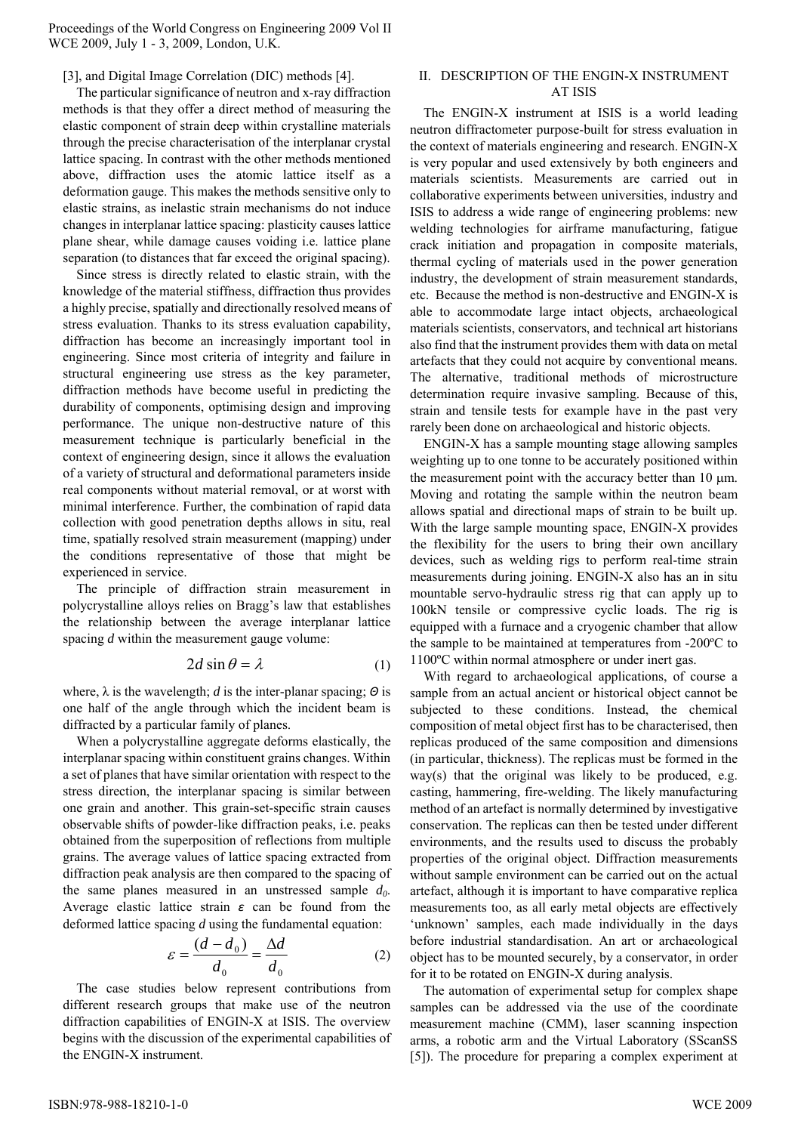# [3], and Digital Image Correlation (DIC) methods [4].

The particular significance of neutron and x-ray diffraction methods is that they offer a direct method of measuring the elastic component of strain deep within crystalline materials through the precise characterisation of the interplanar crystal lattice spacing. In contrast with the other methods mentioned above, diffraction uses the atomic lattice itself as a deformation gauge. This makes the methods sensitive only to elastic strains, as inelastic strain mechanisms do not induce changes in interplanar lattice spacing: plasticity causes lattice plane shear, while damage causes voiding i.e. lattice plane separation (to distances that far exceed the original spacing).

Since stress is directly related to elastic strain, with the knowledge of the material stiffness, diffraction thus provides a highly precise, spatially and directionally resolved means of stress evaluation. Thanks to its stress evaluation capability, diffraction has become an increasingly important tool in engineering. Since most criteria of integrity and failure in structural engineering use stress as the key parameter, diffraction methods have become useful in predicting the durability of components, optimising design and improving performance. The unique non-destructive nature of this measurement technique is particularly beneficial in the context of engineering design, since it allows the evaluation of a variety of structural and deformational parameters inside real components without material removal, or at worst with minimal interference. Further, the combination of rapid data collection with good penetration depths allows in situ, real time, spatially resolved strain measurement (mapping) under the conditions representative of those that might be experienced in service.

The principle of diffraction strain measurement in polycrystalline alloys relies on Bragg's law that establishes the relationship between the average interplanar lattice spacing *d* within the measurement gauge volume:

$$
2d\sin\theta = \lambda \tag{1}
$$

where, λ is the wavelength; *d* is the inter-planar spacing; *Θ* is one half of the angle through which the incident beam is diffracted by a particular family of planes.

When a polycrystalline aggregate deforms elastically, the interplanar spacing within constituent grains changes. Within a set of planes that have similar orientation with respect to the stress direction, the interplanar spacing is similar between one grain and another. This grain-set-specific strain causes observable shifts of powder-like diffraction peaks, i.e. peaks obtained from the superposition of reflections from multiple grains. The average values of lattice spacing extracted from diffraction peak analysis are then compared to the spacing of the same planes measured in an unstressed sample  $d_0$ . Average elastic lattice strain *ε* can be found from the deformed lattice spacing *d* using the fundamental equation:

$$
\varepsilon = \frac{(d - d_0)}{d_0} = \frac{\Delta d}{d_0} \tag{2}
$$

The case studies below represent contributions from different research groups that make use of the neutron diffraction capabilities of ENGIN-X at ISIS. The overview begins with the discussion of the experimental capabilities of the ENGIN-X instrument.

#### II. DESCRIPTION OF THE ENGIN-X INSTRUMENT AT ISIS

The ENGIN-X instrument at ISIS is a world leading neutron diffractometer purpose-built for stress evaluation in the context of materials engineering and research. ENGIN-X is very popular and used extensively by both engineers and materials scientists. Measurements are carried out in collaborative experiments between universities, industry and ISIS to address a wide range of engineering problems: new welding technologies for airframe manufacturing, fatigue crack initiation and propagation in composite materials, thermal cycling of materials used in the power generation industry, the development of strain measurement standards, etc. Because the method is non-destructive and ENGIN-X is able to accommodate large intact objects, archaeological materials scientists, conservators, and technical art historians also find that the instrument provides them with data on metal artefacts that they could not acquire by conventional means. The alternative, traditional methods of microstructure determination require invasive sampling. Because of this, strain and tensile tests for example have in the past very rarely been done on archaeological and historic objects.

ENGIN-X has a sample mounting stage allowing samples weighting up to one tonne to be accurately positioned within the measurement point with the accuracy better than 10 μm. Moving and rotating the sample within the neutron beam allows spatial and directional maps of strain to be built up. With the large sample mounting space, ENGIN-X provides the flexibility for the users to bring their own ancillary devices, such as welding rigs to perform real-time strain measurements during joining. ENGIN-X also has an in situ mountable servo-hydraulic stress rig that can apply up to 100kN tensile or compressive cyclic loads. The rig is equipped with a furnace and a cryogenic chamber that allow the sample to be maintained at temperatures from -200ºC to 1100ºC within normal atmosphere or under inert gas.

With regard to archaeological applications, of course a sample from an actual ancient or historical object cannot be subjected to these conditions. Instead, the chemical composition of metal object first has to be characterised, then replicas produced of the same composition and dimensions (in particular, thickness). The replicas must be formed in the way(s) that the original was likely to be produced, e.g. casting, hammering, fire-welding. The likely manufacturing method of an artefact is normally determined by investigative conservation. The replicas can then be tested under different environments, and the results used to discuss the probably properties of the original object. Diffraction measurements without sample environment can be carried out on the actual artefact, although it is important to have comparative replica measurements too, as all early metal objects are effectively 'unknown' samples, each made individually in the days before industrial standardisation. An art or archaeological object has to be mounted securely, by a conservator, in order for it to be rotated on ENGIN-X during analysis.

The automation of experimental setup for complex shape samples can be addressed via the use of the coordinate measurement machine (CMM), laser scanning inspection arms, a robotic arm and the Virtual Laboratory (SScanSS [5]). The procedure for preparing a complex experiment at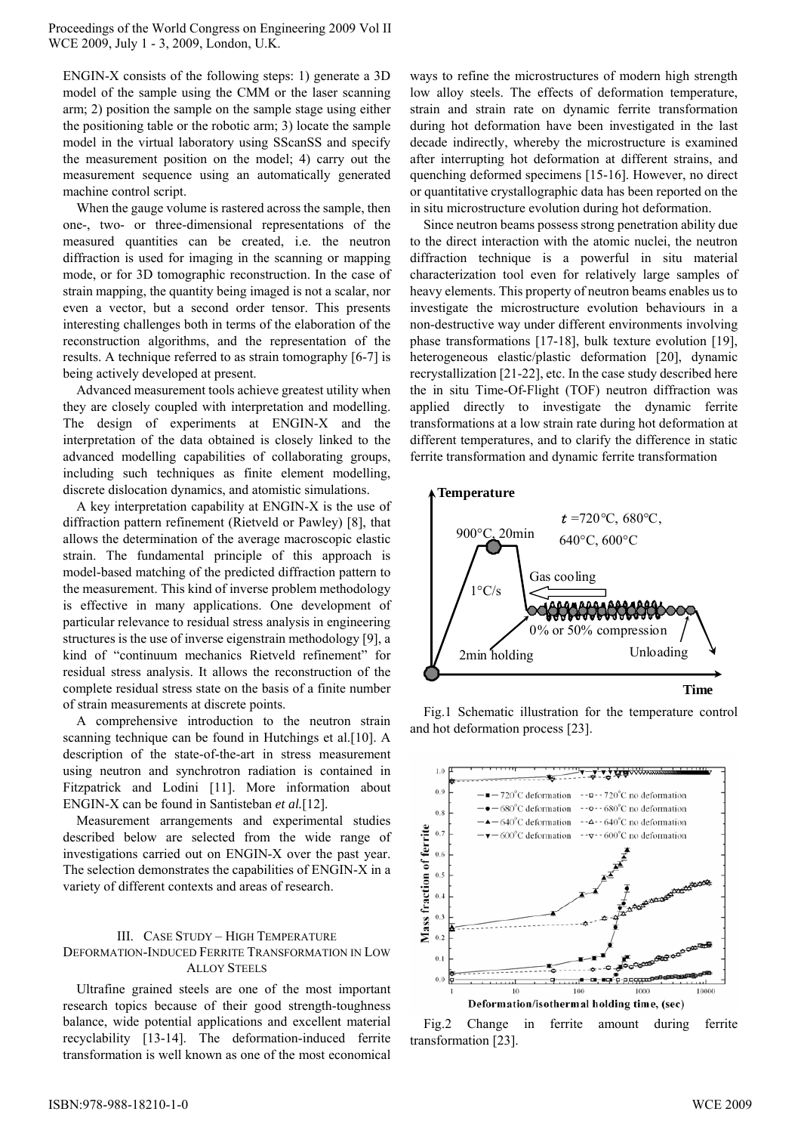ENGIN-X consists of the following steps: 1) generate a 3D model of the sample using the CMM or the laser scanning arm; 2) position the sample on the sample stage using either the positioning table or the robotic arm; 3) locate the sample model in the virtual laboratory using SScanSS and specify the measurement position on the model; 4) carry out the measurement sequence using an automatically generated machine control script.

When the gauge volume is rastered across the sample, then one-, two- or three-dimensional representations of the measured quantities can be created, i.e. the neutron diffraction is used for imaging in the scanning or mapping mode, or for 3D tomographic reconstruction. In the case of strain mapping, the quantity being imaged is not a scalar, nor even a vector, but a second order tensor. This presents interesting challenges both in terms of the elaboration of the reconstruction algorithms, and the representation of the results. A technique referred to as strain tomography [6-7] is being actively developed at present.

Advanced measurement tools achieve greatest utility when they are closely coupled with interpretation and modelling. The design of experiments at ENGIN-X and the interpretation of the data obtained is closely linked to the advanced modelling capabilities of collaborating groups, including such techniques as finite element modelling, discrete dislocation dynamics, and atomistic simulations.

A key interpretation capability at ENGIN-X is the use of diffraction pattern refinement (Rietveld or Pawley) [8], that allows the determination of the average macroscopic elastic strain. The fundamental principle of this approach is model-based matching of the predicted diffraction pattern to the measurement. This kind of inverse problem methodology is effective in many applications. One development of particular relevance to residual stress analysis in engineering structures is the use of inverse eigenstrain methodology [9], a kind of "continuum mechanics Rietveld refinement" for residual stress analysis. It allows the reconstruction of the complete residual stress state on the basis of a finite number of strain measurements at discrete points.

A comprehensive introduction to the neutron strain scanning technique can be found in Hutchings et al.[10]. A description of the state-of-the-art in stress measurement using neutron and synchrotron radiation is contained in Fitzpatrick and Lodini [11]. More information about ENGIN-X can be found in Santisteban *et al.*[12].

Measurement arrangements and experimental studies described below are selected from the wide range of investigations carried out on ENGIN-X over the past year. The selection demonstrates the capabilities of ENGIN-X in a variety of different contexts and areas of research.

# III. CASE STUDY – HIGH TEMPERATURE DEFORMATION-INDUCED FERRITE TRANSFORMATION IN LOW ALLOY STEELS

Ultrafine grained steels are one of the most important research topics because of their good strength-toughness balance, wide potential applications and excellent material recyclability [13-14]. The deformation-induced ferrite transformation is well known as one of the most economical ways to refine the microstructures of modern high strength low alloy steels. The effects of deformation temperature, strain and strain rate on dynamic ferrite transformation during hot deformation have been investigated in the last decade indirectly, whereby the microstructure is examined after interrupting hot deformation at different strains, and quenching deformed specimens [15-16]. However, no direct or quantitative crystallographic data has been reported on the in situ microstructure evolution during hot deformation.

Since neutron beams possess strong penetration ability due to the direct interaction with the atomic nuclei, the neutron diffraction technique is a powerful in situ material characterization tool even for relatively large samples of heavy elements. This property of neutron beams enables us to investigate the microstructure evolution behaviours in a non-destructive way under different environments involving phase transformations [17-18], bulk texture evolution [19], heterogeneous elastic/plastic deformation [20], dynamic recrystallization [21-22], etc. In the case study described here the in situ Time-Of-Flight (TOF) neutron diffraction was applied directly to investigate the dynamic ferrite transformations at a low strain rate during hot deformation at different temperatures, and to clarify the difference in static ferrite transformation and dynamic ferrite transformation



Fig.1 Schematic illustration for the temperature control and hot deformation process [23].



Fig.2 Change in ferrite amount during ferrite transformation [23].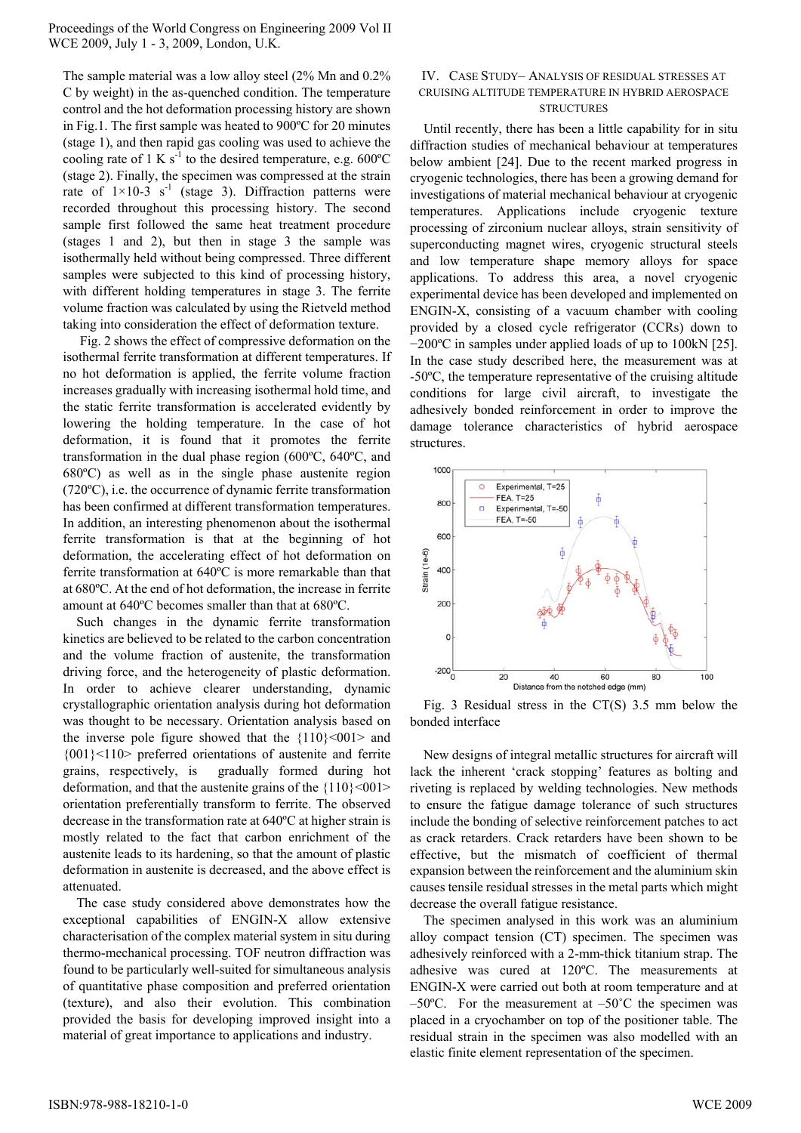The sample material was a low alloy steel (2% Mn and 0.2% C by weight) in the as-quenched condition. The temperature control and the hot deformation processing history are shown in Fig.1. The first sample was heated to 900ºC for 20 minutes (stage 1), and then rapid gas cooling was used to achieve the cooling rate of 1 K s<sup>-1</sup> to the desired temperature, e.g.  $600^{\circ}$ C (stage 2). Finally, the specimen was compressed at the strain rate of  $1 \times 10^{-3}$  s<sup>-1</sup> (stage 3). Diffraction patterns were recorded throughout this processing history. The second sample first followed the same heat treatment procedure (stages 1 and 2), but then in stage 3 the sample was isothermally held without being compressed. Three different samples were subjected to this kind of processing history, with different holding temperatures in stage 3. The ferrite volume fraction was calculated by using the Rietveld method taking into consideration the effect of deformation texture.

 Fig. 2 shows the effect of compressive deformation on the isothermal ferrite transformation at different temperatures. If no hot deformation is applied, the ferrite volume fraction increases gradually with increasing isothermal hold time, and the static ferrite transformation is accelerated evidently by lowering the holding temperature. In the case of hot deformation, it is found that it promotes the ferrite transformation in the dual phase region (600ºC, 640ºC, and 680ºC) as well as in the single phase austenite region (720ºC), i.e. the occurrence of dynamic ferrite transformation has been confirmed at different transformation temperatures. In addition, an interesting phenomenon about the isothermal ferrite transformation is that at the beginning of hot deformation, the accelerating effect of hot deformation on ferrite transformation at 640ºC is more remarkable than that at 680ºC. At the end of hot deformation, the increase in ferrite amount at 640ºC becomes smaller than that at 680ºC.

Such changes in the dynamic ferrite transformation kinetics are believed to be related to the carbon concentration and the volume fraction of austenite, the transformation driving force, and the heterogeneity of plastic deformation. In order to achieve clearer understanding, dynamic crystallographic orientation analysis during hot deformation was thought to be necessary. Orientation analysis based on the inverse pole figure showed that the  ${110} \le 001$  and {001}<110> preferred orientations of austenite and ferrite grains, respectively, is gradually formed during hot deformation, and that the austenite grains of the  ${110}$  <001> orientation preferentially transform to ferrite. The observed decrease in the transformation rate at 640ºC at higher strain is mostly related to the fact that carbon enrichment of the austenite leads to its hardening, so that the amount of plastic deformation in austenite is decreased, and the above effect is attenuated.

The case study considered above demonstrates how the exceptional capabilities of ENGIN-X allow extensive characterisation of the complex material system in situ during thermo-mechanical processing. TOF neutron diffraction was found to be particularly well-suited for simultaneous analysis of quantitative phase composition and preferred orientation (texture), and also their evolution. This combination provided the basis for developing improved insight into a material of great importance to applications and industry.

### IV. CASE STUDY– ANALYSIS OF RESIDUAL STRESSES AT CRUISING ALTITUDE TEMPERATURE IN HYBRID AEROSPACE **STRUCTURES**

Until recently, there has been a little capability for in situ diffraction studies of mechanical behaviour at temperatures below ambient [24]. Due to the recent marked progress in cryogenic technologies, there has been a growing demand for investigations of material mechanical behaviour at cryogenic temperatures. Applications include cryogenic texture processing of zirconium nuclear alloys, strain sensitivity of superconducting magnet wires, cryogenic structural steels and low temperature shape memory alloys for space applications. To address this area, a novel cryogenic experimental device has been developed and implemented on ENGIN-X, consisting of a vacuum chamber with cooling provided by a closed cycle refrigerator (CCRs) down to −200ºC in samples under applied loads of up to 100kN [25]. In the case study described here, the measurement was at -50ºC, the temperature representative of the cruising altitude conditions for large civil aircraft, to investigate the adhesively bonded reinforcement in order to improve the damage tolerance characteristics of hybrid aerospace structures.



Fig. 3 Residual stress in the CT(S) 3.5 mm below the bonded interface

New designs of integral metallic structures for aircraft will lack the inherent 'crack stopping' features as bolting and riveting is replaced by welding technologies. New methods to ensure the fatigue damage tolerance of such structures include the bonding of selective reinforcement patches to act as crack retarders. Crack retarders have been shown to be effective, but the mismatch of coefficient of thermal expansion between the reinforcement and the aluminium skin causes tensile residual stresses in the metal parts which might decrease the overall fatigue resistance.

The specimen analysed in this work was an aluminium alloy compact tension (CT) specimen. The specimen was adhesively reinforced with a 2-mm-thick titanium strap. The adhesive was cured at 120ºC. The measurements at ENGIN-X were carried out both at room temperature and at  $-50^{\circ}$ C. For the measurement at  $-50^{\circ}$ C the specimen was placed in a cryochamber on top of the positioner table. The residual strain in the specimen was also modelled with an elastic finite element representation of the specimen.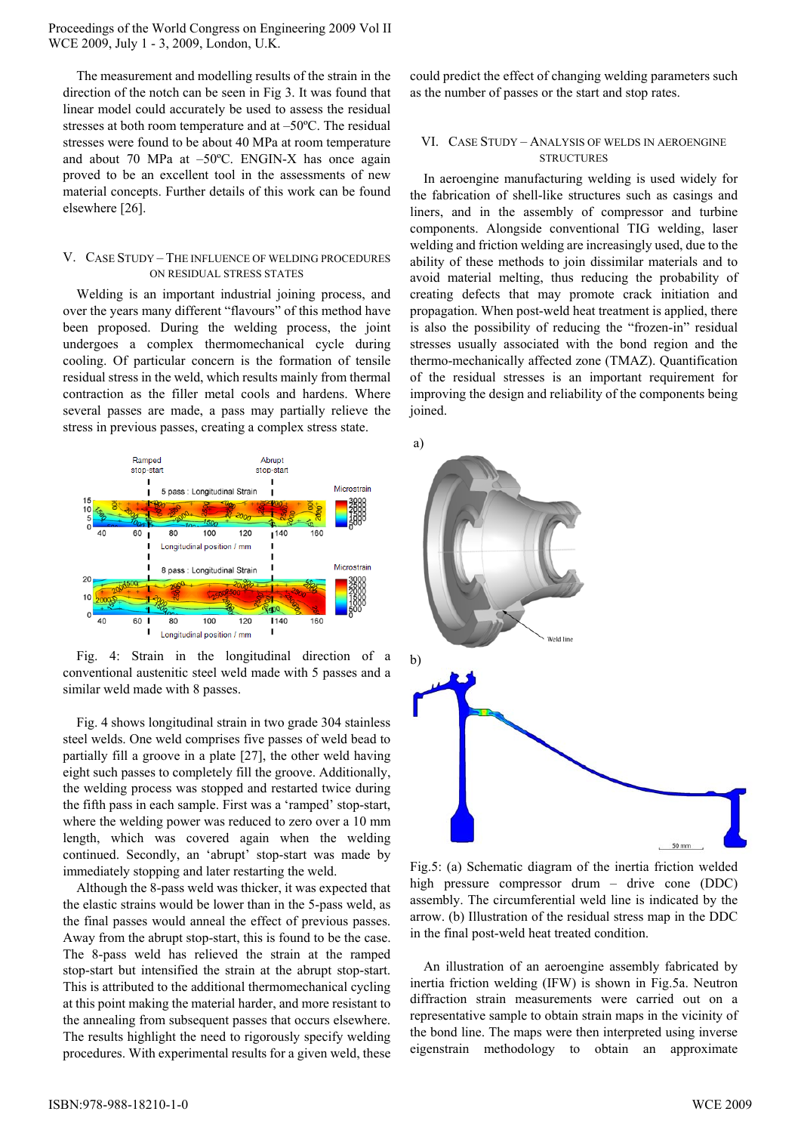The measurement and modelling results of the strain in the direction of the notch can be seen in Fig 3. It was found that linear model could accurately be used to assess the residual stresses at both room temperature and at –50ºC. The residual stresses were found to be about 40 MPa at room temperature and about 70 MPa at –50ºC. ENGIN-X has once again proved to be an excellent tool in the assessments of new material concepts. Further details of this work can be found elsewhere [26].

# V. CASE STUDY – THE INFLUENCE OF WELDING PROCEDURES ON RESIDUAL STRESS STATES

Welding is an important industrial joining process, and over the years many different "flavours" of this method have been proposed. During the welding process, the joint undergoes a complex thermomechanical cycle during cooling. Of particular concern is the formation of tensile residual stress in the weld, which results mainly from thermal contraction as the filler metal cools and hardens. Where several passes are made, a pass may partially relieve the stress in previous passes, creating a complex stress state.



Fig. 4: Strain in the longitudinal direction of a conventional austenitic steel weld made with 5 passes and a similar weld made with 8 passes.

Fig. 4 shows longitudinal strain in two grade 304 stainless steel welds. One weld comprises five passes of weld bead to partially fill a groove in a plate [27], the other weld having eight such passes to completely fill the groove. Additionally, the welding process was stopped and restarted twice during the fifth pass in each sample. First was a 'ramped' stop-start, where the welding power was reduced to zero over a 10 mm length, which was covered again when the welding continued. Secondly, an 'abrupt' stop-start was made by immediately stopping and later restarting the weld.

Although the 8-pass weld was thicker, it was expected that the elastic strains would be lower than in the 5-pass weld, as the final passes would anneal the effect of previous passes. Away from the abrupt stop-start, this is found to be the case. The 8-pass weld has relieved the strain at the ramped stop-start but intensified the strain at the abrupt stop-start. This is attributed to the additional thermomechanical cycling at this point making the material harder, and more resistant to the annealing from subsequent passes that occurs elsewhere. The results highlight the need to rigorously specify welding procedures. With experimental results for a given weld, these could predict the effect of changing welding parameters such as the number of passes or the start and stop rates.

### VI. CASE STUDY – ANALYSIS OF WELDS IN AEROENGINE **STRUCTURES**

In aeroengine manufacturing welding is used widely for the fabrication of shell-like structures such as casings and liners, and in the assembly of compressor and turbine components. Alongside conventional TIG welding, laser welding and friction welding are increasingly used, due to the ability of these methods to join dissimilar materials and to avoid material melting, thus reducing the probability of creating defects that may promote crack initiation and propagation. When post-weld heat treatment is applied, there is also the possibility of reducing the "frozen-in" residual stresses usually associated with the bond region and the thermo-mechanically affected zone (TMAZ). Quantification of the residual stresses is an important requirement for improving the design and reliability of the components being joined.



Fig.5: (a) Schematic diagram of the inertia friction welded high pressure compressor drum – drive cone (DDC) assembly. The circumferential weld line is indicated by the arrow. (b) Illustration of the residual stress map in the DDC in the final post-weld heat treated condition.

An illustration of an aeroengine assembly fabricated by inertia friction welding (IFW) is shown in Fig.5a. Neutron diffraction strain measurements were carried out on a representative sample to obtain strain maps in the vicinity of the bond line. The maps were then interpreted using inverse eigenstrain methodology to obtain an approximate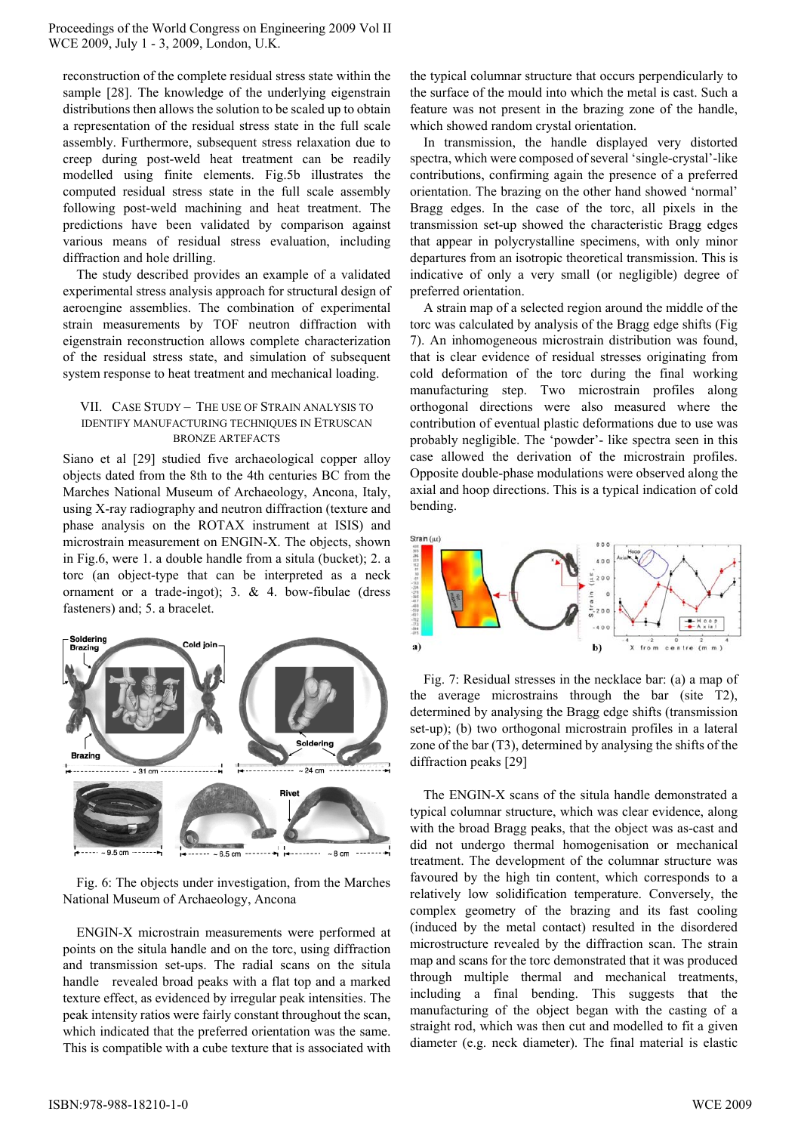reconstruction of the complete residual stress state within the sample [28]. The knowledge of the underlying eigenstrain distributions then allows the solution to be scaled up to obtain a representation of the residual stress state in the full scale assembly. Furthermore, subsequent stress relaxation due to creep during post-weld heat treatment can be readily modelled using finite elements. Fig.5b illustrates the computed residual stress state in the full scale assembly following post-weld machining and heat treatment. The predictions have been validated by comparison against various means of residual stress evaluation, including diffraction and hole drilling.

The study described provides an example of a validated experimental stress analysis approach for structural design of aeroengine assemblies. The combination of experimental strain measurements by TOF neutron diffraction with eigenstrain reconstruction allows complete characterization of the residual stress state, and simulation of subsequent system response to heat treatment and mechanical loading.

# VII. CASE STUDY – THE USE OF STRAIN ANALYSIS TO IDENTIFY MANUFACTURING TECHNIQUES IN ETRUSCAN BRONZE ARTEFACTS

Siano et al [29] studied five archaeological copper alloy objects dated from the 8th to the 4th centuries BC from the Marches National Museum of Archaeology, Ancona, Italy, using X-ray radiography and neutron diffraction (texture and phase analysis on the ROTAX instrument at ISIS) and microstrain measurement on ENGIN-X. The objects, shown in Fig.6, were 1. a double handle from a situla (bucket); 2. a torc (an object-type that can be interpreted as a neck ornament or a trade-ingot); 3. & 4. bow-fibulae (dress fasteners) and; 5. a bracelet.



Fig. 6: The objects under investigation, from the Marches National Museum of Archaeology, Ancona

ENGIN-X microstrain measurements were performed at points on the situla handle and on the torc, using diffraction and transmission set-ups. The radial scans on the situla handle revealed broad peaks with a flat top and a marked texture effect, as evidenced by irregular peak intensities. The peak intensity ratios were fairly constant throughout the scan, which indicated that the preferred orientation was the same. This is compatible with a cube texture that is associated with the typical columnar structure that occurs perpendicularly to the surface of the mould into which the metal is cast. Such a feature was not present in the brazing zone of the handle, which showed random crystal orientation.

In transmission, the handle displayed very distorted spectra, which were composed of several 'single-crystal'-like contributions, confirming again the presence of a preferred orientation. The brazing on the other hand showed 'normal' Bragg edges. In the case of the torc, all pixels in the transmission set-up showed the characteristic Bragg edges that appear in polycrystalline specimens, with only minor departures from an isotropic theoretical transmission. This is indicative of only a very small (or negligible) degree of preferred orientation.

A strain map of a selected region around the middle of the torc was calculated by analysis of the Bragg edge shifts (Fig 7). An inhomogeneous microstrain distribution was found, that is clear evidence of residual stresses originating from cold deformation of the torc during the final working manufacturing step. Two microstrain profiles along orthogonal directions were also measured where the contribution of eventual plastic deformations due to use was probably negligible. The 'powder'- like spectra seen in this case allowed the derivation of the microstrain profiles. Opposite double-phase modulations were observed along the axial and hoop directions. This is a typical indication of cold bending.



Fig. 7: Residual stresses in the necklace bar: (a) a map of the average microstrains through the bar (site T2), determined by analysing the Bragg edge shifts (transmission set-up); (b) two orthogonal microstrain profiles in a lateral zone of the bar (T3), determined by analysing the shifts of the diffraction peaks [29]

The ENGIN-X scans of the situla handle demonstrated a typical columnar structure, which was clear evidence, along with the broad Bragg peaks, that the object was as-cast and did not undergo thermal homogenisation or mechanical treatment. The development of the columnar structure was favoured by the high tin content, which corresponds to a relatively low solidification temperature. Conversely, the complex geometry of the brazing and its fast cooling (induced by the metal contact) resulted in the disordered microstructure revealed by the diffraction scan. The strain map and scans for the torc demonstrated that it was produced through multiple thermal and mechanical treatments, including a final bending. This suggests that the manufacturing of the object began with the casting of a straight rod, which was then cut and modelled to fit a given diameter (e.g. neck diameter). The final material is elastic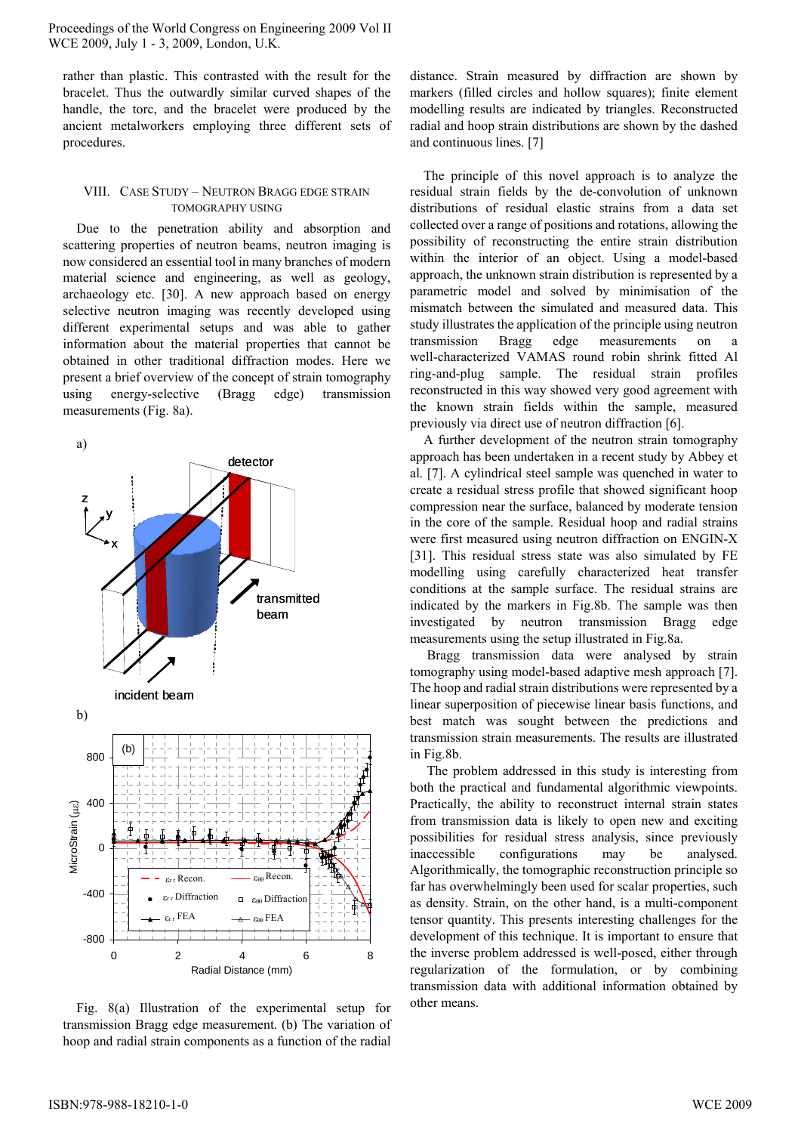rather than plastic. This contrasted with the result for the bracelet. Thus the outwardly similar curved shapes of the handle, the torc, and the bracelet were produced by the ancient metalworkers employing three different sets of procedures.

# VIII. CASE STUDY – NEUTRON BRAGG EDGE STRAIN TOMOGRAPHY USING

Due to the penetration ability and absorption and scattering properties of neutron beams, neutron imaging is now considered an essential tool in many branches of modern material science and engineering, as well as geology, archaeology etc. [30]. A new approach based on energy selective neutron imaging was recently developed using different experimental setups and was able to gather information about the material properties that cannot be obtained in other traditional diffraction modes. Here we present a brief overview of the concept of strain tomography using energy-selective (Bragg edge) transmission measurements (Fig. 8a).



Fig. 8(a) Illustration of the experimental setup for transmission Bragg edge measurement. (b) The variation of hoop and radial strain components as a function of the radial

distance. Strain measured by diffraction are shown by markers (filled circles and hollow squares); finite element modelling results are indicated by triangles. Reconstructed radial and hoop strain distributions are shown by the dashed and continuous lines. [7]

The principle of this novel approach is to analyze the residual strain fields by the de-convolution of unknown distributions of residual elastic strains from a data set collected over a range of positions and rotations, allowing the possibility of reconstructing the entire strain distribution within the interior of an object. Using a model-based approach, the unknown strain distribution is represented by a parametric model and solved by minimisation of the mismatch between the simulated and measured data. This study illustrates the application of the principle using neutron transmission Bragg edge measurements on a well-characterized VAMAS round robin shrink fitted Al ring-and-plug sample. The residual strain profiles reconstructed in this way showed very good agreement with the known strain fields within the sample, measured previously via direct use of neutron diffraction [6].

A further development of the neutron strain tomography approach has been undertaken in a recent study by Abbey et al. [7]. A cylindrical steel sample was quenched in water to create a residual stress profile that showed significant hoop compression near the surface, balanced by moderate tension in the core of the sample. Residual hoop and radial strains were first measured using neutron diffraction on ENGIN-X [31]. This residual stress state was also simulated by FE modelling using carefully characterized heat transfer conditions at the sample surface. The residual strains are indicated by the markers in Fig.8b. The sample was then investigated by neutron transmission Bragg edge measurements using the setup illustrated in Fig.8a.

 Bragg transmission data were analysed by strain tomography using model-based adaptive mesh approach [7]. The hoop and radial strain distributions were represented by a linear superposition of piecewise linear basis functions, and best match was sought between the predictions and transmission strain measurements. The results are illustrated in Fig.8b.

 The problem addressed in this study is interesting from both the practical and fundamental algorithmic viewpoints. Practically, the ability to reconstruct internal strain states from transmission data is likely to open new and exciting possibilities for residual stress analysis, since previously inaccessible configurations may be analysed. Algorithmically, the tomographic reconstruction principle so far has overwhelmingly been used for scalar properties, such as density. Strain, on the other hand, is a multi-component tensor quantity. This presents interesting challenges for the development of this technique. It is important to ensure that the inverse problem addressed is well-posed, either through regularization of the formulation, or by combining transmission data with additional information obtained by other means.